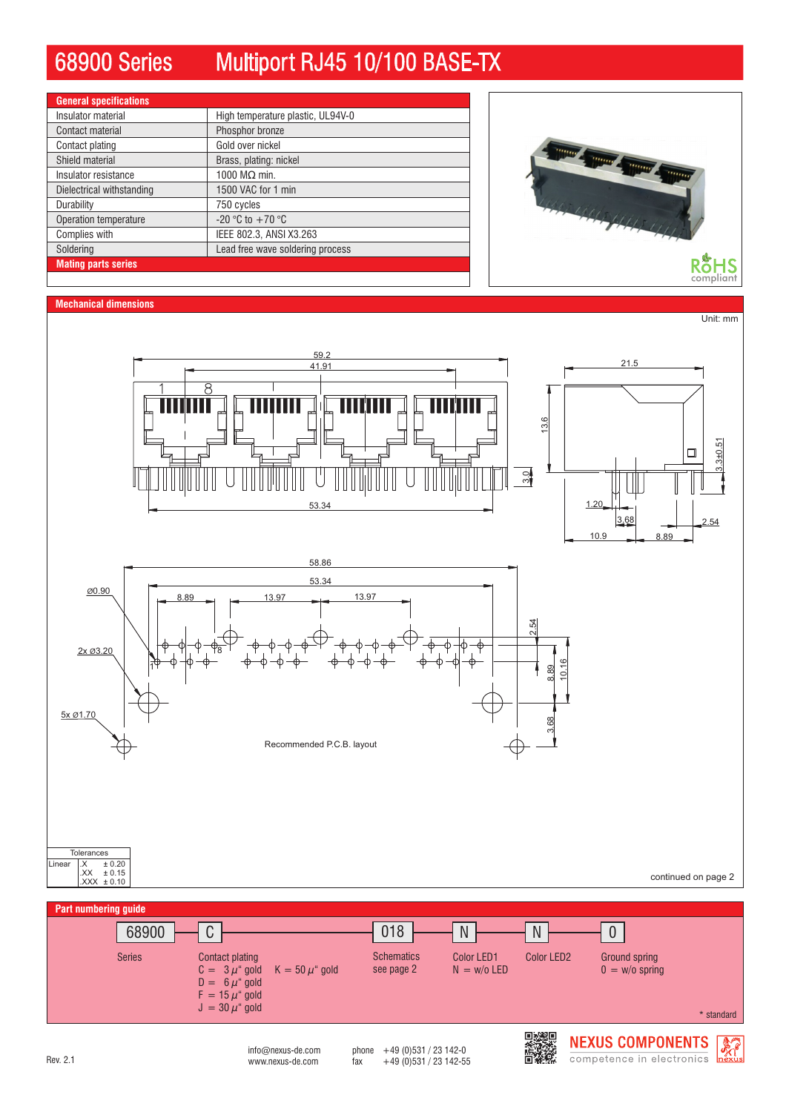# 68900 Series Multiport RJ45 10/100 BASE-TX

| <b>General specifications</b> |                                   |  |  |
|-------------------------------|-----------------------------------|--|--|
| Insulator material            | High temperature plastic, UL94V-0 |  |  |
| Contact material              | Phosphor bronze                   |  |  |
| Contact plating               | Gold over nickel                  |  |  |
| Shield material               | Brass, plating: nickel            |  |  |
| Insulator resistance          | 1000 $M\Omega$ min.               |  |  |
| Dielectrical withstanding     | 1500 VAC for 1 min                |  |  |
| Durability                    | 750 cycles                        |  |  |
| Operation temperature         | $-20$ °C to $+70$ °C              |  |  |
| Complies with                 | IEEE 802.3, ANSI X3.263           |  |  |
| Soldering                     | Lead free wave soldering process  |  |  |
| <b>Mating parts series</b>    |                                   |  |  |



#### **Mechanical dimensions**

Unit: mm



 $0 = w/o$  spring

 $K = 50 \mu^{\circ}$  gold

J  $=30\,\mu^{\ast}$  gold

 $D = 6 \mu^4$  gold  $\mathsf{F}\,=\,$  15  $\mu^{\mathrm{a}}$  gold  $C = 3 \mu^{\mu}$  gold

Series **Contact plating Contact District Color Color LED**2 Color LED2

www.nexus-de.com  $\frac{149}{2}$  fax  $\frac{49}{2}$  (0)531 / 23 142-55  $info@{}$ nexus-de.com phone  $+49$  (0)531 / 23 142-0

see page 2

 $N = w/o$  LED